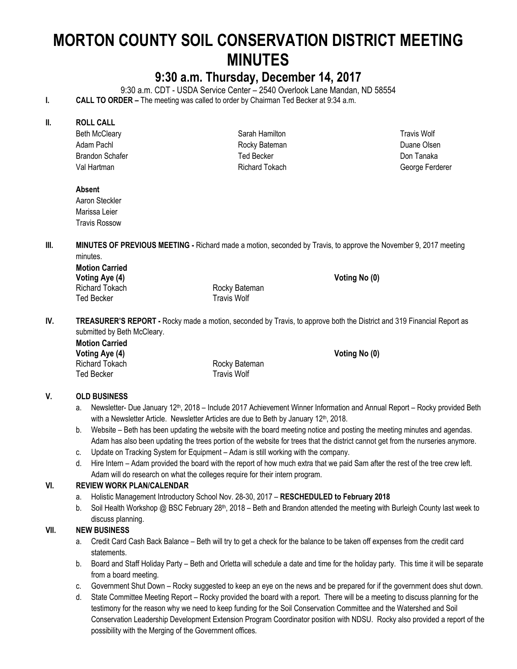# **MORTON COUNTY SOIL CONSERVATION DISTRICT MEETING MINUTES**

# **9:30 a.m. Thursday, December 14, 2017**

9:30 a.m. CDT - USDA Service Center – 2540 Overlook Lane Mandan, ND 58554

**I. CALL TO ORDER –** The meeting was called to order by Chairman Ted Becker at 9:34 a.m.

### **II. ROLL CALL**

Beth McCleary Adam Pachl Brandon Schafer Val Hartman

Sarah Hamilton Rocky Bateman Ted Becker Richard Tokach

Travis Wolf Duane Olsen Don Tanaka George Ferderer

# **Absent**

Aaron Steckler Marissa Leier Travis Rossow

**III. MINUTES OF PREVIOUS MEETING -** Richard made a motion, seconded by Travis, to approve the November 9, 2017 meeting minutes.

**Motion Carried**  Voting Aye (4) **Voting Aye (4) Voting No (0) Voting No (0) Voting No (0)** Richard Tokach **Richard Tokach** Rocky Bateman Ted Becker Travis Wolf

**IV. TREASURER'S REPORT -** Rocky made a motion, seconded by Travis, to approve both the District and 319 Financial Report as submitted by Beth McCleary.

**Motion Carried Voting Aye (4) Voting No (0)**  Richard Tokach **Richard Tokach Rocky Bateman** Ted Becker Travis Wolf

# **V. OLD BUSINESS**

- a. Newsletter- Due January 12<sup>th</sup>, 2018 Include 2017 Achievement Winner Information and Annual Report Rocky provided Beth with a Newsletter Article. Newsletter Articles are due to Beth by January 12<sup>th</sup>, 2018.
- b. Website Beth has been updating the website with the board meeting notice and posting the meeting minutes and agendas. Adam has also been updating the trees portion of the website for trees that the district cannot get from the nurseries anymore.
- c. Update on Tracking System for Equipment Adam is still working with the company.
- d. Hire Intern Adam provided the board with the report of how much extra that we paid Sam after the rest of the tree crew left. Adam will do research on what the colleges require for their intern program.

# **VI. REVIEW WORK PLAN/CALENDAR**

- a. Holistic Management Introductory School Nov. 28-30, 2017 **RESCHEDULED to February 2018**
- b. Soil Health Workshop @ BSC February  $28<sup>th</sup>$ , 2018 Beth and Brandon attended the meeting with Burleigh County last week to discuss planning.

# **VII. NEW BUSINESS**

- a. Credit Card Cash Back Balance Beth will try to get a check for the balance to be taken off expenses from the credit card statements.
- b. Board and Staff Holiday Party Beth and Orletta will schedule a date and time for the holiday party. This time it will be separate from a board meeting.
- c. Government Shut Down Rocky suggested to keep an eye on the news and be prepared for if the government does shut down.
- d. State Committee Meeting Report Rocky provided the board with a report. There will be a meeting to discuss planning for the testimony for the reason why we need to keep funding for the Soil Conservation Committee and the Watershed and Soil Conservation Leadership Development Extension Program Coordinator position with NDSU. Rocky also provided a report of the possibility with the Merging of the Government offices.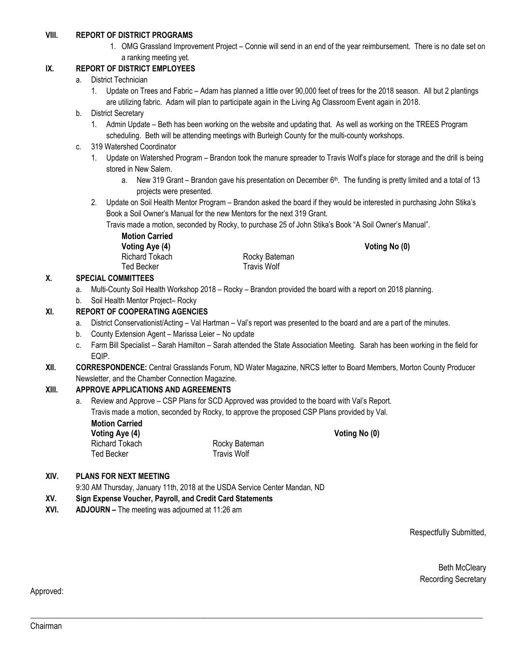#### **VIII. REPORT OF DISTRICT PROGRAMS**

1. OMG Grassland Improvement Project – Connie will send in an end of the year reimbursement. There is no date set on a ranking meeting yet.

#### **IX. REPORT OF DISTRICT EMPLOYEES**

#### a. District Technician

- 1. Update on Trees and Fabric Adam has planned a little over 90,000 feet of trees for the 2018 season. All but 2 plantings are utilizing fabric. Adam will plan to participate again in the Living Ag Classroom Event again in 2018.
- b. District Secretary
	- 1. Admin Update Beth has been working on the website and updating that. As well as working on the TREES Program scheduling. Beth will be attending meetings with Burleigh County for the multi-county workshops.
- c. 319 Watershed Coordinator
	- 1. Update on Watershed Program Brandon took the manure spreader to Travis Wolf's place for storage and the drill is being stored in New Salem.
		- a. New 319 Grant Brandon gave his presentation on December 6<sup>th</sup>. The funding is pretty limited and a total of 13 projects were presented.
	- 2. Update on Soil Health Mentor Program Brandon asked the board if they would be interested in purchasing John Stika's Book a Soil Owner's Manual for the new Mentors for the next 319 Grant.

Travis made a motion, seconded by Rocky, to purchase 25 of John Stika's Book "A Soil Owner's Manual".

**Motion Carried**  Voting Aye (4) **Voting Aye (4) Voting No (0)** Richard Tokach Rocky Bateman Ted Becker **Travis Wolf** 

# **X. SPECIAL COMMITTEES**

- a. Multi-County Soil Health Workshop 2018 Rocky Brandon provided the board with a report on 2018 planning.
- b. Soil Health Mentor Project– Rocky

#### **XI. REPORT OF COOPERATING AGENCIES**

- a. District Conservationist/Acting Val Hartman Val's report was presented to the board and are a part of the minutes.
- b. County Extension Agent Marissa Leier No update
- c. Farm Bill Specialist Sarah Hamilton Sarah attended the State Association Meeting. Sarah has been working in the field for EQIP.
- **XII. CORRESPONDENCE:** Central Grasslands Forum, ND Water Magazine, NRCS letter to Board Members, Morton County Producer Newsletter, and the Chamber Connection Magazine.

\_\_\_\_\_\_\_\_\_\_\_\_\_\_\_\_\_\_\_\_\_\_\_\_\_\_\_\_\_\_\_\_\_\_\_\_\_\_\_\_\_\_\_\_\_\_\_\_\_\_\_\_\_\_\_\_\_\_\_\_\_\_\_\_\_\_\_\_\_\_\_\_\_\_\_\_\_\_\_\_\_\_\_\_\_\_\_\_\_\_\_\_\_\_\_\_\_\_\_\_\_\_\_\_\_\_\_\_\_\_\_\_

#### **XIII. APPROVE APPLICATIONS AND AGREEMENTS**

a. Review and Approve – CSP Plans for SCD Approved was provided to the board with Val's Report. Travis made a motion, seconded by Rocky, to approve the proposed CSP Plans provided by Val. **Motion Carried**  Voting Aye (4) **Voting Aye (4)** Voting No (0)

**XIV. PLANS FOR NEXT MEETING**

9:30 AM Thursday, January 11th, 2018 at the USDA Service Center Mandan, ND

Richard Tokach Rocky Bateman Ted Becker **Travis Wolf** 

- **XV. Sign Expense Voucher, Payroll, and Credit Card Statements**
- **XVI. ADJOURN –** The meeting was adjourned at 11:26 am

Respectfully Submitted,

Beth McCleary Recording Secretary

Approved: